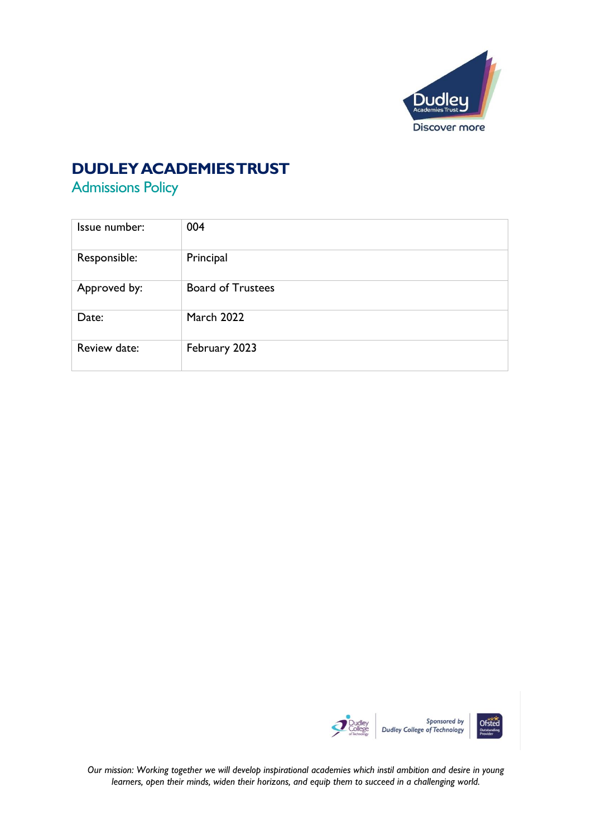

### **DUDLEY ACADEMIES TRUST**

Admissions Policy

| Issue number: | 004                      |
|---------------|--------------------------|
| Responsible:  | Principal                |
| Approved by:  | <b>Board of Trustees</b> |
| Date:         | <b>March 2022</b>        |
| Review date:  | February 2023            |



*Our mission: Working together we will develop inspirational academies which instil ambition and desire in young learners, open their minds, widen their horizons, and equip them to succeed in a challenging world.*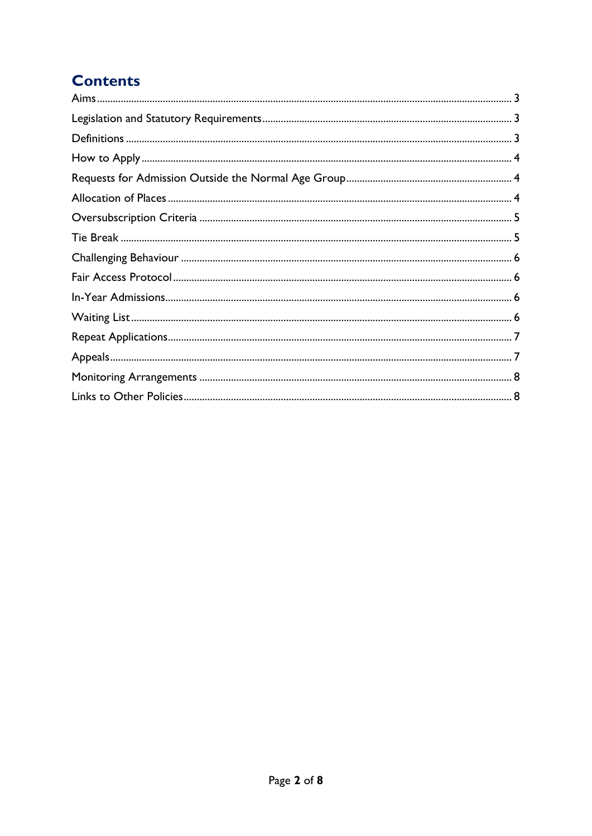# **Contents**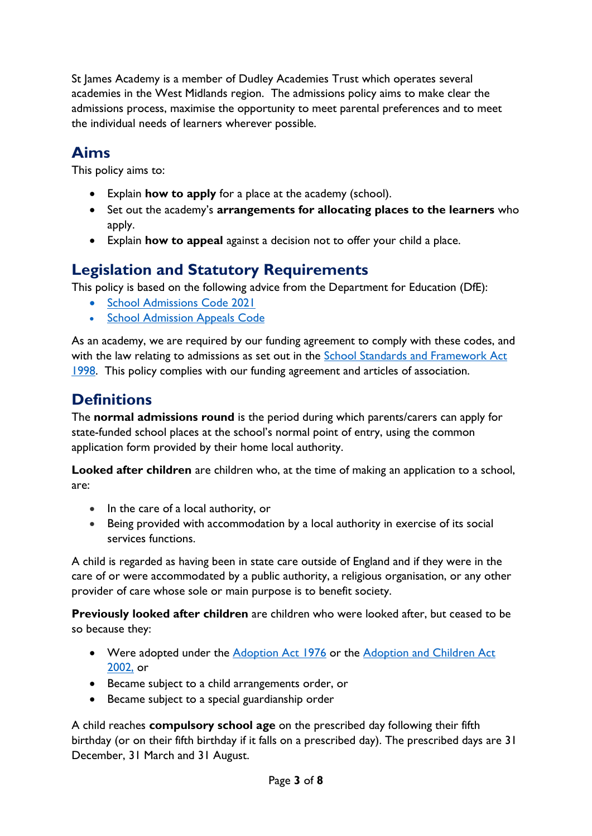St James Academy is a member of Dudley Academies Trust which operates several academies in the West Midlands region. The admissions policy aims to make clear the admissions process, maximise the opportunity to meet parental preferences and to meet the individual needs of learners wherever possible.

### <span id="page-2-0"></span>**Aims**

This policy aims to:

- Explain **how to apply** for a place at the academy (school).
- Set out the academy's **arrangements for allocating places to the learners** who apply.
- Explain **how to appeal** against a decision not to offer your child a place.

### <span id="page-2-1"></span>**Legislation and Statutory Requirements**

This policy is based on the following advice from the Department for Education (DfE):

- [School Admissions Code](https://www.gov.uk/government/publications/school-admissions-code--2) 2021
- [School Admission Appeals Code](https://www.gov.uk/government/publications/school-admissions-appeals-code)

As an academy, we are required by our funding agreement to comply with these codes, and with the law relating to admissions as set out in the **School Standards and Framework Act** [1998.](http://www.legislation.gov.uk/ukpga/1998/31/contents) This policy complies with our funding agreement and articles of association.

## <span id="page-2-2"></span>**Definitions**

The **normal admissions round** is the period during which parents/carers can apply for state-funded school places at the school's normal point of entry, using the common application form provided by their home local authority.

**Looked after children** are children who, at the time of making an application to a school, are:

- In the care of a local authority, or
- Being provided with accommodation by a local authority in exercise of its social services functions.

A child is regarded as having been in state care outside of England and if they were in the care of or were accommodated by a public authority, a religious organisation, or any other provider of care whose sole or main purpose is to benefit society.

**Previously looked after children** are children who were looked after, but ceased to be so because they:

- Were adopted under the [Adoption Act 1976](http://www.legislation.gov.uk/ukpga/1976/36/contents) or the Adoption and Children Act [2002,](http://www.legislation.gov.uk/ukpga/2002/38/contents) or
- Became subject to a child arrangements order, or
- Became subject to a special guardianship order

A child reaches **compulsory school age** on the prescribed day following their fifth birthday (or on their fifth birthday if it falls on a prescribed day). The prescribed days are 31 December, 31 March and 31 August.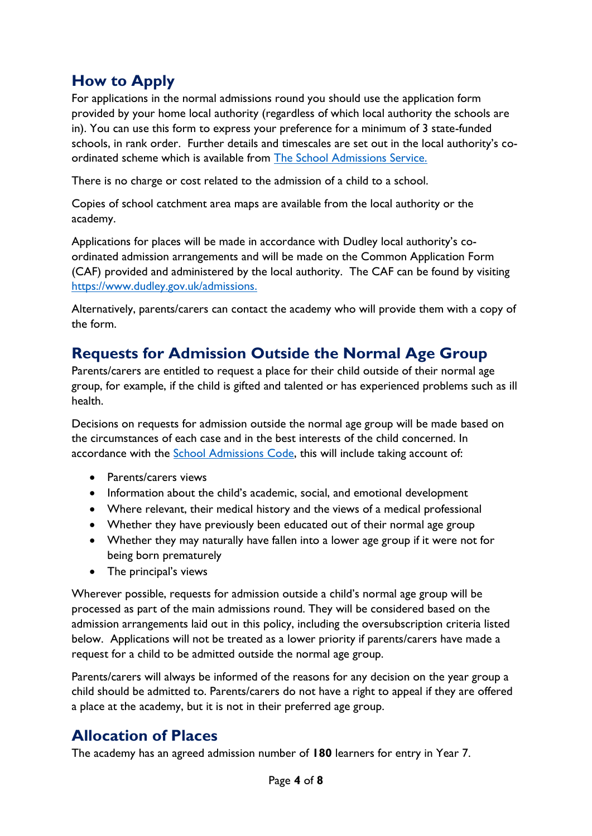### <span id="page-3-0"></span>**How to Apply**

For applications in the normal admissions round you should use the application form provided by your home local authority (regardless of which local authority the schools are in). You can use this form to express your preference for a minimum of 3 state-funded schools, in rank order. Further details and timescales are set out in the local authority's coordinated scheme which is available from [The School Admissions Service.](https://www.dudley.gov.uk/residents/learning-and-school/school-information/school-admissions/) 

There is no charge or cost related to the admission of a child to a school.

Copies of school catchment area maps are available from the local authority or the academy.

Applications for places will be made in accordance with Dudley local authority's coordinated admission arrangements and will be made on the Common Application Form (CAF) provided and administered by the local authority. The CAF can be found by visiting [https://www.dudley.gov.uk/admissions.](https://www.dudley.gov.uk/admissions)

Alternatively, parents/carers can contact the academy who will provide them with a copy of the form.

### <span id="page-3-1"></span>**Requests for Admission Outside the Normal Age Group**

Parents/carers are entitled to request a place for their child outside of their normal age group, for example, if the child is gifted and talented or has experienced problems such as ill health.

Decisions on requests for admission outside the normal age group will be made based on the circumstances of each case and in the best interests of the child concerned. In accordance with the [School Admissions Code,](https://www.gov.uk/government/publications/school-admissions-code--2) this will include taking account of:

- Parents/carers views
- Information about the child's academic, social, and emotional development
- Where relevant, their medical history and the views of a medical professional
- Whether they have previously been educated out of their normal age group
- Whether they may naturally have fallen into a lower age group if it were not for being born prematurely
- The principal's views

Wherever possible, requests for admission outside a child's normal age group will be processed as part of the main admissions round. They will be considered based on the admission arrangements laid out in this policy, including the oversubscription criteria listed below. Applications will not be treated as a lower priority if parents/carers have made a request for a child to be admitted outside the normal age group.

Parents/carers will always be informed of the reasons for any decision on the year group a child should be admitted to. Parents/carers do not have a right to appeal if they are offered a place at the academy, but it is not in their preferred age group.

### <span id="page-3-2"></span>**Allocation of Places**

The academy has an agreed admission number of **180** learners for entry in Year 7.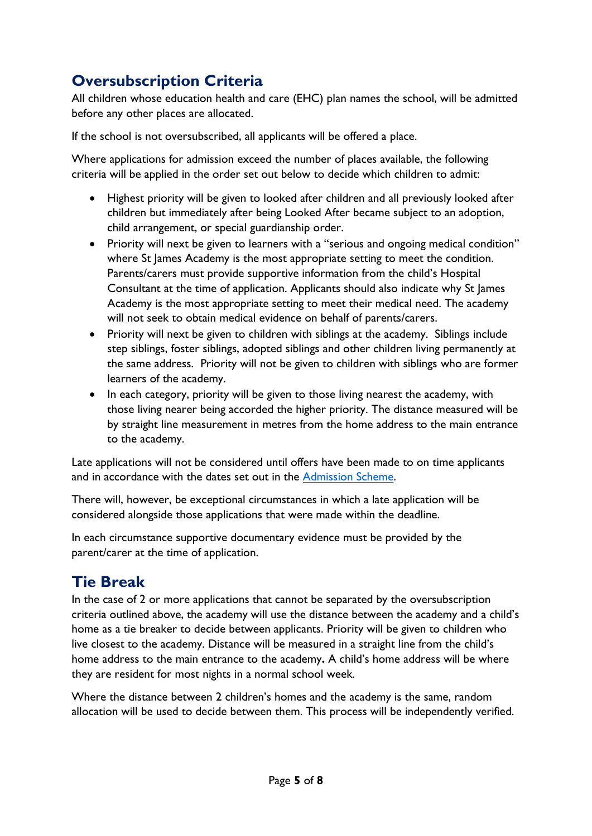# <span id="page-4-0"></span>**Oversubscription Criteria**

All children whose education health and care (EHC) plan names the school, will be admitted before any other places are allocated.

If the school is not oversubscribed, all applicants will be offered a place.

Where applications for admission exceed the number of places available, the following criteria will be applied in the order set out below to decide which children to admit:

- Highest priority will be given to looked after children and all previously looked after children but immediately after being Looked After became subject to an adoption, child arrangement, or special guardianship order.
- Priority will next be given to learners with a "serious and ongoing medical condition" where St James Academy is the most appropriate setting to meet the condition. Parents/carers must provide supportive information from the child's Hospital Consultant at the time of application. Applicants should also indicate why St James Academy is the most appropriate setting to meet their medical need. The academy will not seek to obtain medical evidence on behalf of parents/carers.
- Priority will next be given to children with siblings at the academy. Siblings include step siblings, foster siblings, adopted siblings and other children living permanently at the same address. Priority will not be given to children with siblings who are former learners of the academy.
- In each category, priority will be given to those living nearest the academy, with those living nearer being accorded the higher priority. The distance measured will be by straight line measurement in metres from the home address to the main entrance to the academy.

Late applications will not be considered until offers have been made to on time applicants and in accordance with the dates set out in the [Admission Scheme.](https://www.dudley.gov.uk/residents/learning-and-school/school-information/school-admissions/)

There will, however, be exceptional circumstances in which a late application will be considered alongside those applications that were made within the deadline.

In each circumstance supportive documentary evidence must be provided by the parent/carer at the time of application.

## <span id="page-4-1"></span>**Tie Break**

In the case of 2 or more applications that cannot be separated by the oversubscription criteria outlined above, the academy will use the distance between the academy and a child's home as a tie breaker to decide between applicants. Priority will be given to children who live closest to the academy. Distance will be measured in a straight line from the child's home address to the main entrance to the academy**.** A child's home address will be where they are resident for most nights in a normal school week.

Where the distance between 2 children's homes and the academy is the same, random allocation will be used to decide between them. This process will be independently verified.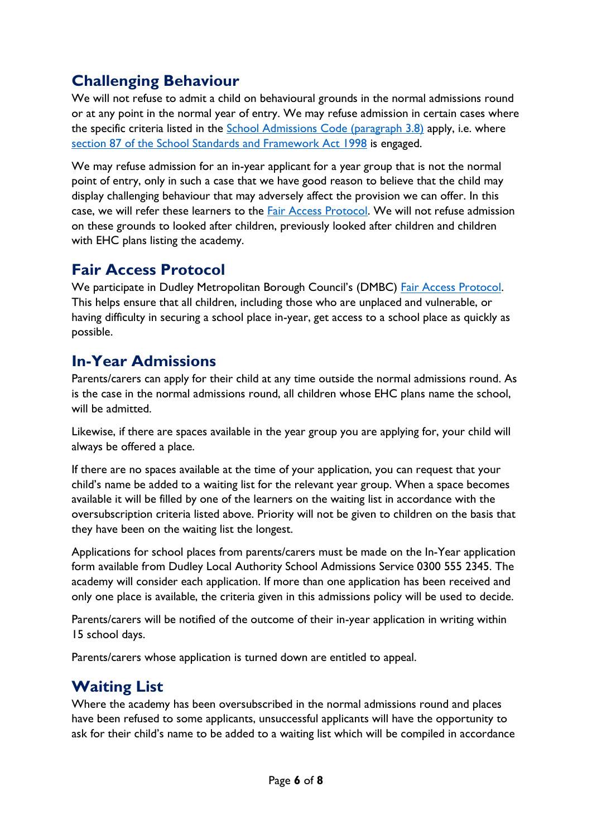## <span id="page-5-0"></span>**Challenging Behaviour**

We will not refuse to admit a child on behavioural grounds in the normal admissions round or at any point in the normal year of entry. We may refuse admission in certain cases where the specific criteria listed in the [School Admissions Code \(paragraph 3.8\)](https://assets.publishing.service.gov.uk/government/uploads/system/uploads/attachment_data/file/1001050/School_admissions_code_2021.pdf) apply, i.e. where [section 87 of the School Standards and Framework Act 1998](https://www.legislation.gov.uk/ukpga/1998/31/section/87) is engaged.

We may refuse admission for an in-year applicant for a year group that is not the normal point of entry, only in such a case that we have good reason to believe that the child may display challenging behaviour that may adversely affect the provision we can offer. In this case, we will refer these learners to the [Fair Access Protocol.](https://assets.publishing.service.gov.uk/government/uploads/system/uploads/attachment_data/file/1012993/FAP_Guidance.pdf) We will not refuse admission on these grounds to looked after children, previously looked after children and children with EHC plans listing the academy.

#### <span id="page-5-1"></span>**Fair Access Protocol**

We participate in Dudley Metropolitan Borough Council's (DMBC) [Fair Access Protocol.](https://www.dudley.gov.uk/residents/learning-and-school/school-information/school-admissions/changing-schools/#:~:text=In%20accordance%20with%20Government%20Legislation,school%20as%20quickly%20as%20possible.) This helps ensure that all children, including those who are unplaced and vulnerable, or having difficulty in securing a school place in-year, get access to a school place as quickly as possible.

#### <span id="page-5-2"></span>**In-Year Admissions**

Parents/carers can apply for their child at any time outside the normal admissions round. As is the case in the normal admissions round, all children whose EHC plans name the school, will be admitted.

Likewise, if there are spaces available in the year group you are applying for, your child will always be offered a place.

If there are no spaces available at the time of your application, you can request that your child's name be added to a waiting list for the relevant year group. When a space becomes available it will be filled by one of the learners on the waiting list in accordance with the oversubscription criteria listed above. Priority will not be given to children on the basis that they have been on the waiting list the longest.

Applications for school places from parents/carers must be made on the In-Year application form available from Dudley Local Authority School Admissions Service 0300 555 2345. The academy will consider each application. If more than one application has been received and only one place is available, the criteria given in this admissions policy will be used to decide.

Parents/carers will be notified of the outcome of their in-year application in writing within 15 school days.

Parents/carers whose application is turned down are entitled to appeal.

### <span id="page-5-3"></span>**Waiting List**

Where the academy has been oversubscribed in the normal admissions round and places have been refused to some applicants, unsuccessful applicants will have the opportunity to ask for their child's name to be added to a waiting list which will be compiled in accordance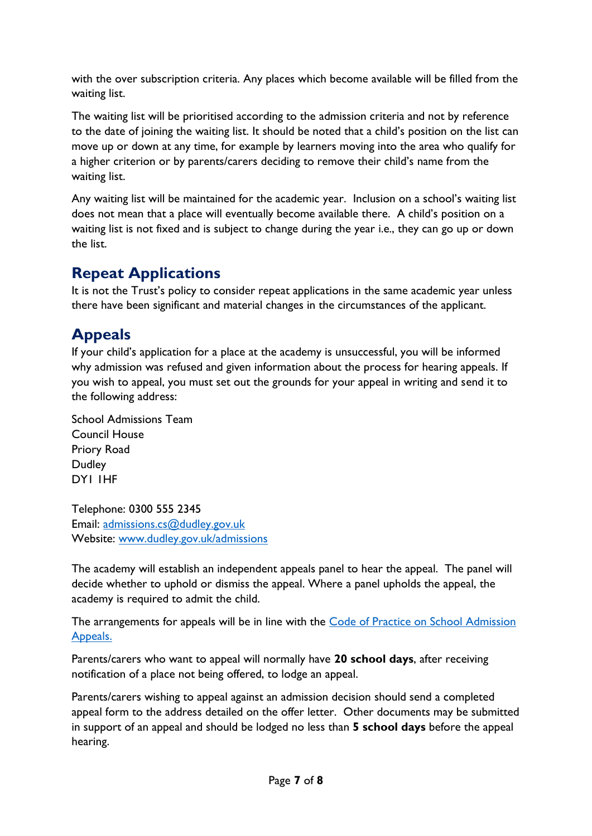with the over subscription criteria. Any places which become available will be filled from the waiting list.

The waiting list will be prioritised according to the admission criteria and not by reference to the date of joining the waiting list. It should be noted that a child's position on the list can move up or down at any time, for example by learners moving into the area who qualify for a higher criterion or by parents/carers deciding to remove their child's name from the waiting list.

Any waiting list will be maintained for the academic year. Inclusion on a school's waiting list does not mean that a place will eventually become available there. A child's position on a waiting list is not fixed and is subject to change during the year i.e., they can go up or down the list.

### <span id="page-6-0"></span>**Repeat Applications**

It is not the Trust's policy to consider repeat applications in the same academic year unless there have been significant and material changes in the circumstances of the applicant.

# <span id="page-6-1"></span>**Appeals**

If your child's application for a place at the academy is unsuccessful, you will be informed why admission was refused and given information about the process for hearing appeals. If you wish to appeal, you must set out the grounds for your appeal in writing and send it to the following address:

School Admissions Team Council House Priory Road Dudley DY1 1HF

Telephone: 0300 555 2345 Email: [admissions.cs@dudley.gov.uk](mailto:admissions.cs@dudley.gov.uk) Website: [www.dudley.gov.uk/admissions](http://www.dudley.gov.uk/admissions)

The academy will establish an independent appeals panel to hear the appeal. The panel will decide whether to uphold or dismiss the appeal. Where a panel upholds the appeal, the academy is required to admit the child.

The arrangements for appeals will be in line with the [Code of Practice on School](https://assets.publishing.service.gov.uk/government/uploads/system/uploads/attachment_data/file/389388/School_Admissions_Code_2014_-_19_Dec.pdf) Admission [Appeals.](https://assets.publishing.service.gov.uk/government/uploads/system/uploads/attachment_data/file/389388/School_Admissions_Code_2014_-_19_Dec.pdf)

Parents/carers who want to appeal will normally have **20 school days**, after receiving notification of a place not being offered, to lodge an appeal.

Parents/carers wishing to appeal against an admission decision should send a completed appeal form to the address detailed on the offer letter. Other documents may be submitted in support of an appeal and should be lodged no less than **5 school days** before the appeal hearing.